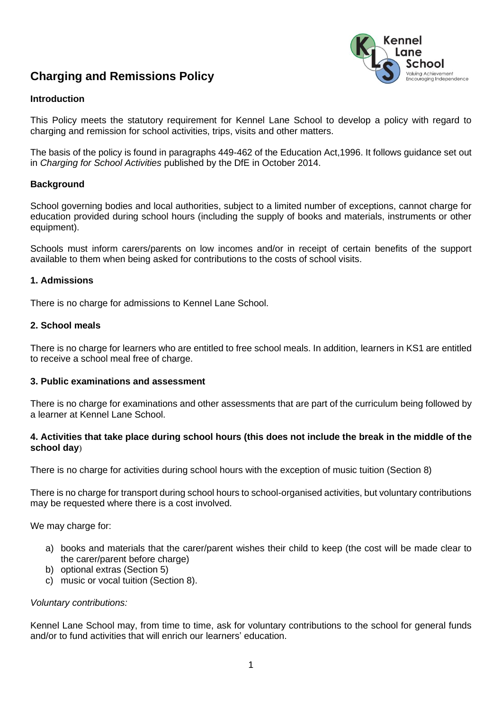# **Charging and Remissions Policy**



# **Introduction**

This Policy meets the statutory requirement for Kennel Lane School to develop a policy with regard to charging and remission for school activities, trips, visits and other matters.

The basis of the policy is found in paragraphs 449-462 of the Education Act,1996. It follows guidance set out in *Charging for School Activities* published by the DfE in October 2014.

## **Background**

School governing bodies and local authorities, subject to a limited number of exceptions, cannot charge for education provided during school hours (including the supply of books and materials, instruments or other equipment).

Schools must inform carers/parents on low incomes and/or in receipt of certain benefits of the support available to them when being asked for contributions to the costs of school visits.

## **1. Admissions**

There is no charge for admissions to Kennel Lane School.

## **2. School meals**

There is no charge for learners who are entitled to free school meals. In addition, learners in KS1 are entitled to receive a school meal free of charge.

## **3. Public examinations and assessment**

There is no charge for examinations and other assessments that are part of the curriculum being followed by a learner at Kennel Lane School.

## **4. Activities that take place during school hours (this does not include the break in the middle of the school day**)

There is no charge for activities during school hours with the exception of music tuition (Section 8)

There is no charge for transport during school hours to school-organised activities, but voluntary contributions may be requested where there is a cost involved.

We may charge for:

- a) books and materials that the carer/parent wishes their child to keep (the cost will be made clear to the carer/parent before charge)
- b) optional extras (Section 5)
- c) music or vocal tuition (Section 8).

#### *Voluntary contributions:*

Kennel Lane School may, from time to time, ask for voluntary contributions to the school for general funds and/or to fund activities that will enrich our learners' education.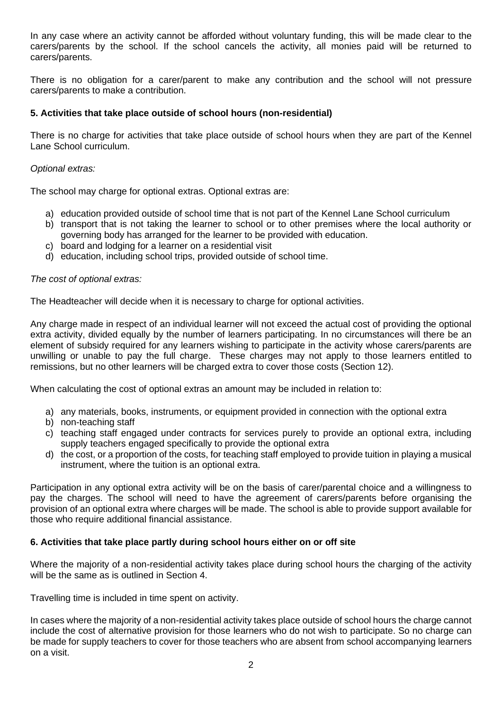In any case where an activity cannot be afforded without voluntary funding, this will be made clear to the carers/parents by the school. If the school cancels the activity, all monies paid will be returned to carers/parents.

There is no obligation for a carer/parent to make any contribution and the school will not pressure carers/parents to make a contribution.

# **5. Activities that take place outside of school hours (non-residential)**

There is no charge for activities that take place outside of school hours when they are part of the Kennel Lane School curriculum.

# *Optional extras:*

The school may charge for optional extras. Optional extras are:

- a) education provided outside of school time that is not part of the Kennel Lane School curriculum
- b) transport that is not taking the learner to school or to other premises where the local authority or governing body has arranged for the learner to be provided with education.
- c) board and lodging for a learner on a residential visit
- d) education, including school trips, provided outside of school time.

# *The cost of optional extras:*

The Headteacher will decide when it is necessary to charge for optional activities.

Any charge made in respect of an individual learner will not exceed the actual cost of providing the optional extra activity, divided equally by the number of learners participating. In no circumstances will there be an element of subsidy required for any learners wishing to participate in the activity whose carers/parents are unwilling or unable to pay the full charge. These charges may not apply to those learners entitled to remissions, but no other learners will be charged extra to cover those costs (Section 12).

When calculating the cost of optional extras an amount may be included in relation to:

- a) any materials, books, instruments, or equipment provided in connection with the optional extra
- b) non-teaching staff
- c) teaching staff engaged under contracts for services purely to provide an optional extra, including supply teachers engaged specifically to provide the optional extra
- d) the cost, or a proportion of the costs, for teaching staff employed to provide tuition in playing a musical instrument, where the tuition is an optional extra.

Participation in any optional extra activity will be on the basis of carer/parental choice and a willingness to pay the charges. The school will need to have the agreement of carers/parents before organising the provision of an optional extra where charges will be made. The school is able to provide support available for those who require additional financial assistance.

## **6. Activities that take place partly during school hours either on or off site**

Where the majority of a non-residential activity takes place during school hours the charging of the activity will be the same as is outlined in Section 4.

Travelling time is included in time spent on activity.

In cases where the majority of a non-residential activity takes place outside of school hours the charge cannot include the cost of alternative provision for those learners who do not wish to participate. So no charge can be made for supply teachers to cover for those teachers who are absent from school accompanying learners on a visit.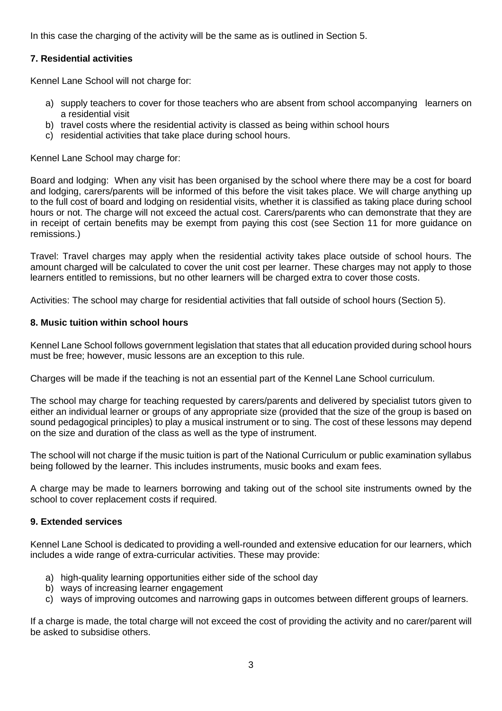In this case the charging of the activity will be the same as is outlined in Section 5.

# **7. Residential activities**

Kennel Lane School will not charge for:

- a) supply teachers to cover for those teachers who are absent from school accompanying learners on a residential visit
- b) travel costs where the residential activity is classed as being within school hours
- c) residential activities that take place during school hours.

Kennel Lane School may charge for:

Board and lodging: When any visit has been organised by the school where there may be a cost for board and lodging, carers/parents will be informed of this before the visit takes place. We will charge anything up to the full cost of board and lodging on residential visits, whether it is classified as taking place during school hours or not. The charge will not exceed the actual cost. Carers/parents who can demonstrate that they are in receipt of certain benefits may be exempt from paying this cost (see Section 11 for more guidance on remissions.)

Travel: Travel charges may apply when the residential activity takes place outside of school hours. The amount charged will be calculated to cover the unit cost per learner. These charges may not apply to those learners entitled to remissions, but no other learners will be charged extra to cover those costs.

Activities: The school may charge for residential activities that fall outside of school hours (Section 5).

## **8. Music tuition within school hours**

Kennel Lane School follows government legislation that states that all education provided during school hours must be free; however, music lessons are an exception to this rule.

Charges will be made if the teaching is not an essential part of the Kennel Lane School curriculum.

The school may charge for teaching requested by carers/parents and delivered by specialist tutors given to either an individual learner or groups of any appropriate size (provided that the size of the group is based on sound pedagogical principles) to play a musical instrument or to sing. The cost of these lessons may depend on the size and duration of the class as well as the type of instrument.

The school will not charge if the music tuition is part of the National Curriculum or public examination syllabus being followed by the learner. This includes instruments, music books and exam fees.

A charge may be made to learners borrowing and taking out of the school site instruments owned by the school to cover replacement costs if required.

# **9. Extended services**

Kennel Lane School is dedicated to providing a well-rounded and extensive education for our learners, which includes a wide range of extra-curricular activities. These may provide:

- a) high-quality learning opportunities either side of the school day
- b) ways of increasing learner engagement
- c) ways of improving outcomes and narrowing gaps in outcomes between different groups of learners.

If a charge is made, the total charge will not exceed the cost of providing the activity and no carer/parent will be asked to subsidise others.